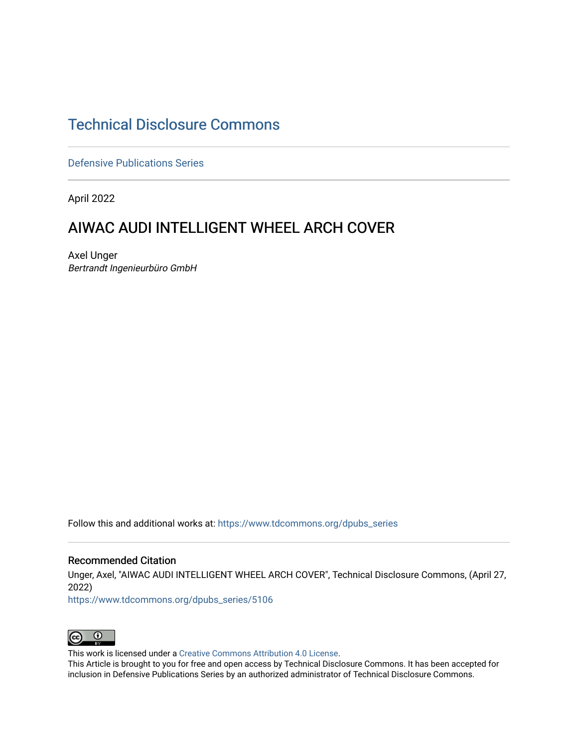# [Technical Disclosure Commons](https://www.tdcommons.org/)

[Defensive Publications Series](https://www.tdcommons.org/dpubs_series)

April 2022

# AIWAC AUDI INTELLIGENT WHEEL ARCH COVER

Axel Unger Bertrandt Ingenieurbüro GmbH

Follow this and additional works at: [https://www.tdcommons.org/dpubs\\_series](https://www.tdcommons.org/dpubs_series?utm_source=www.tdcommons.org%2Fdpubs_series%2F5106&utm_medium=PDF&utm_campaign=PDFCoverPages) 

### Recommended Citation

Unger, Axel, "AIWAC AUDI INTELLIGENT WHEEL ARCH COVER", Technical Disclosure Commons, (April 27, 2022)

[https://www.tdcommons.org/dpubs\\_series/5106](https://www.tdcommons.org/dpubs_series/5106?utm_source=www.tdcommons.org%2Fdpubs_series%2F5106&utm_medium=PDF&utm_campaign=PDFCoverPages)



This work is licensed under a [Creative Commons Attribution 4.0 License](http://creativecommons.org/licenses/by/4.0/deed.en_US).

This Article is brought to you for free and open access by Technical Disclosure Commons. It has been accepted for inclusion in Defensive Publications Series by an authorized administrator of Technical Disclosure Commons.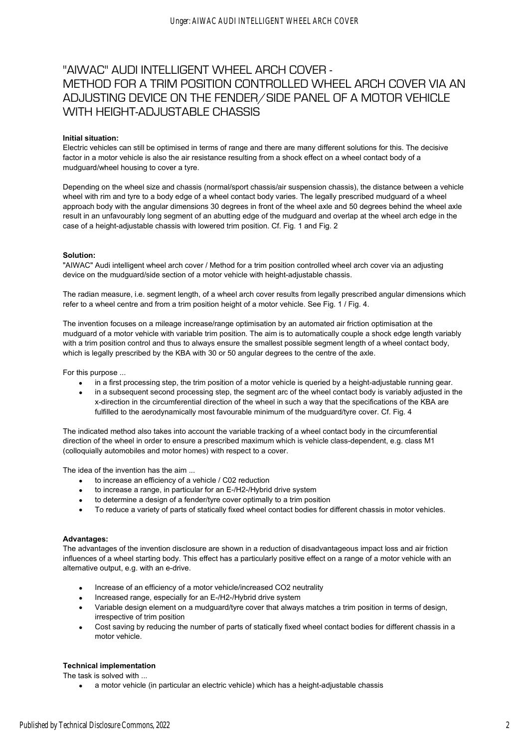## "AIWAC" AUDI INTELLIGENT WHEEL ARCH COVER - METHOD FOR A TRIM POSITION CONTROLLED WHEEL ARCH COVER VIA AN ADJUSTING DEVICE ON THE FENDER/SIDE PANEL OF A MOTOR VEHICLE WITH HEIGHT-ADJUSTABLE CHASSIS

#### **Initial situation:**

Electric vehicles can still be optimised in terms of range and there are many different solutions for this. The decisive factor in a motor vehicle is also the air resistance resulting from a shock effect on a wheel contact body of a mudguard/wheel housing to cover a tyre.

Depending on the wheel size and chassis (normal/sport chassis/air suspension chassis), the distance between a vehicle wheel with rim and tyre to a body edge of a wheel contact body varies. The legally prescribed mudguard of a wheel approach body with the angular dimensions 30 degrees in front of the wheel axle and 50 degrees behind the wheel axle result in an unfavourably long segment of an abutting edge of the mudguard and overlap at the wheel arch edge in the case of a height-adjustable chassis with lowered trim position. Cf. Fig. 1 and Fig. 2

#### **Solution:**

"AIWAC" Audi intelligent wheel arch cover / Method for a trim position controlled wheel arch cover via an adjusting device on the mudguard/side section of a motor vehicle with height-adjustable chassis.

The radian measure, i.e. segment length, of a wheel arch cover results from legally prescribed angular dimensions which refer to a wheel centre and from a trim position height of a motor vehicle. See Fig. 1 / Fig. 4.

The invention focuses on a mileage increase/range optimisation by an automated air friction optimisation at the mudguard of a motor vehicle with variable trim position. The aim is to automatically couple a shock edge length variably with a trim position control and thus to always ensure the smallest possible segment length of a wheel contact body, which is legally prescribed by the KBA with 30 or 50 angular degrees to the centre of the axle.

For this purpose ...

- in a first processing step, the trim position of a motor vehicle is queried by a height-adjustable running gear.
- in a subsequent second processing step, the segment arc of the wheel contact body is variably adjusted in the x-direction in the circumferential direction of the wheel in such a way that the specifications of the KBA are fulfilled to the aerodynamically most favourable minimum of the mudguard/tyre cover. Cf. Fig. 4

The indicated method also takes into account the variable tracking of a wheel contact body in the circumferential direction of the wheel in order to ensure a prescribed maximum which is vehicle class-dependent, e.g. class M1 (colloquially automobiles and motor homes) with respect to a cover.

The idea of the invention has the aim ...

- to increase an efficiency of a vehicle / C02 reduction
- to increase a range, in particular for an E-/H2-/Hybrid drive system
- to determine a design of a fender/tyre cover optimally to a trim position
- To reduce a variety of parts of statically fixed wheel contact bodies for different chassis in motor vehicles.

#### **Advantages:**

The advantages of the invention disclosure are shown in a reduction of disadvantageous impact loss and air friction influences of a wheel starting body. This effect has a particularly positive effect on a range of a motor vehicle with an alternative output, e.g. with an e-drive.

- Increase of an efficiency of a motor vehicle/increased CO2 neutrality
- Increased range, especially for an E-/H2-/Hybrid drive system
- Variable design element on a mudguard/tyre cover that always matches a trim position in terms of design, irrespective of trim position
- Cost saving by reducing the number of parts of statically fixed wheel contact bodies for different chassis in a motor vehicle.

#### **Technical implementation**

The task is solved with ...

• a motor vehicle (in particular an electric vehicle) which has a height-adjustable chassis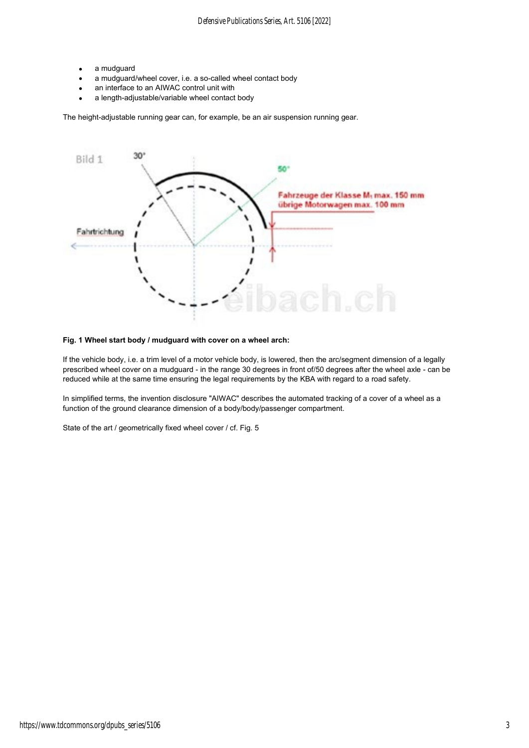- a mudguard
- a mudguard/wheel cover, i.e. a so-called wheel contact body
- an interface to an AIWAC control unit with
- a length-adjustable/variable wheel contact body

The height-adjustable running gear can, for example, be an air suspension running gear.



### **Fig. 1 Wheel start body / mudguard with cover on a wheel arch:**

If the vehicle body, i.e. a trim level of a motor vehicle body, is lowered, then the arc/segment dimension of a legally prescribed wheel cover on a mudguard - in the range 30 degrees in front of/50 degrees after the wheel axle - can be reduced while at the same time ensuring the legal requirements by the KBA with regard to a road safety.

In simplified terms, the invention disclosure "AIWAC" describes the automated tracking of a cover of a wheel as a function of the ground clearance dimension of a body/body/passenger compartment.

State of the art / geometrically fixed wheel cover / cf. Fig. 5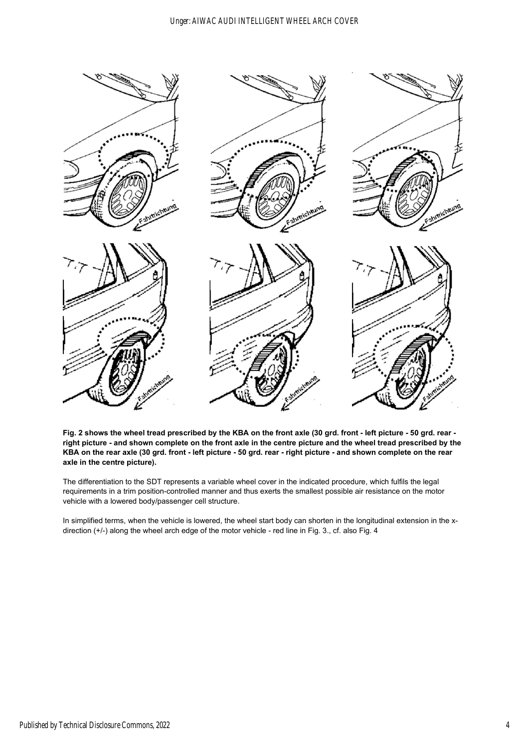

**Fig. 2 shows the wheel tread prescribed by the KBA on the front axle (30 grd. front - left picture - 50 grd. rear right picture - and shown complete on the front axle in the centre picture and the wheel tread prescribed by the KBA on the rear axle (30 grd. front - left picture - 50 grd. rear - right picture - and shown complete on the rear axle in the centre picture).**

The differentiation to the SDT represents a variable wheel cover in the indicated procedure, which fulfils the legal requirements in a trim position-controlled manner and thus exerts the smallest possible air resistance on the motor vehicle with a lowered body/passenger cell structure.

In simplified terms, when the vehicle is lowered, the wheel start body can shorten in the longitudinal extension in the xdirection (+/-) along the wheel arch edge of the motor vehicle - red line in Fig. 3., cf. also Fig. 4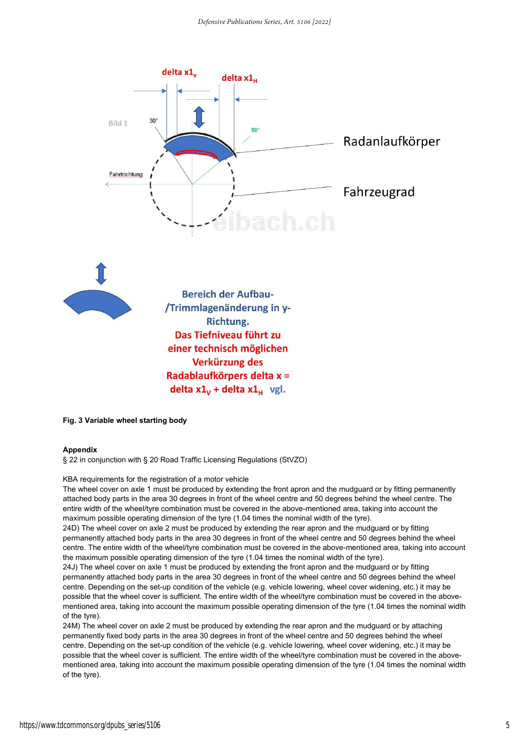

**Fig. 3 Variable wheel starting body**

#### **Appendix**

§ 22 in conjunction with § 20 Road Traffic Licensing Regulations (StVZO)

#### KBA requirements for the registration of a motor vehicle

The wheel cover on axle 1 must be produced by extending the front apron and the mudguard or by fitting permanently attached body parts in the area 30 degrees in front of the wheel centre and 50 degrees behind the wheel centre. The entire width of the wheel/tyre combination must be covered in the above-mentioned area, taking into account the maximum possible operating dimension of the tyre (1.04 times the nominal width of the tyre).

24D) The wheel cover on axle 2 must be produced by extending the rear apron and the mudguard or by fitting permanently attached body parts in the area 30 degrees in front of the wheel centre and 50 degrees behind the wheel centre. The entire width of the wheel/tyre combination must be covered in the above-mentioned area, taking into account the maximum possible operating dimension of the tyre (1.04 times the nominal width of the tyre).

24J) The wheel cover on axle 1 must be produced by extending the front apron and the mudguard or by fitting permanently attached body parts in the area 30 degrees in front of the wheel centre and 50 degrees behind the wheel centre. Depending on the set-up condition of the vehicle (e.g. vehicle lowering, wheel cover widening, etc.) it may be possible that the wheel cover is sufficient. The entire width of the wheel/tyre combination must be covered in the abovementioned area, taking into account the maximum possible operating dimension of the tyre (1.04 times the nominal width of the tyre).

24M) The wheel cover on axle 2 must be produced by extending the rear apron and the mudguard or by attaching permanently fixed body parts in the area 30 degrees in front of the wheel centre and 50 degrees behind the wheel centre. Depending on the set-up condition of the vehicle (e.g. vehicle lowering, wheel cover widening, etc.) it may be possible that the wheel cover is sufficient. The entire width of the wheel/tyre combination must be covered in the abovementioned area, taking into account the maximum possible operating dimension of the tyre (1.04 times the nominal width of the tyre).